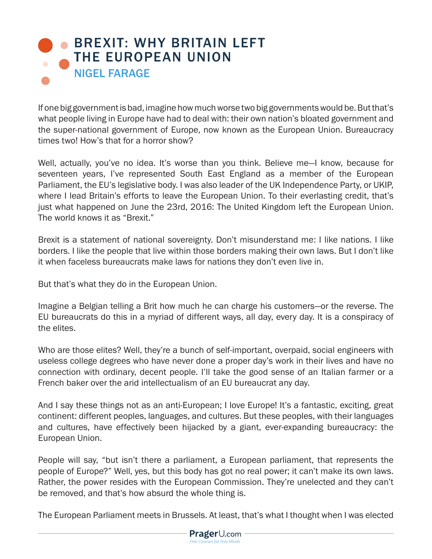## **BREXIT: WHY BRITAIN LEFT** THE EUROPEAN UNION NIGEL FARAGE

If one big government is bad, imagine how much worse two big governments would be. But that's what people living in Europe have had to deal with: their own nation's bloated government and the super-national government of Europe, now known as the European Union. Bureaucracy times two! How's that for a horror show?

Well, actually, you've no idea. It's worse than you think. Believe me-I know, because for seventeen years, I've represented South East England as a member of the European Parliament, the EU's legislative body. I was also leader of the UK Independence Party, or UKIP, where I lead Britain's efforts to leave the European Union. To their everlasting credit, that's just what happened on June the 23rd, 2016: The United Kingdom left the European Union. The world knows it as "Brexit."

Brexit is a statement of national sovereignty. Don't misunderstand me: I like nations. I like borders. I like the people that live within those borders making their own laws. But I don't like it when faceless bureaucrats make laws for nations they don't even live in.

But that's what they do in the European Union.

Imagine a Belgian telling a Brit how much he can charge his customers—or the reverse. The EU bureaucrats do this in a myriad of different ways, all day, every day. It is a conspiracy of the elites.

Who are those elites? Well, they're a bunch of self-important, overpaid, social engineers with useless college degrees who have never done a proper day's work in their lives and have no connection with ordinary, decent people. I'll take the good sense of an Italian farmer or a French baker over the arid intellectualism of an EU bureaucrat any day.

And I say these things not as an anti-European; I love Europe! It's a fantastic, exciting, great continent: different peoples, languages, and cultures. But these peoples, with their languages and cultures, have effectively been hijacked by a giant, ever-expanding bureaucracy: the European Union.

People will say, "but isn't there a parliament, a European parliament, that represents the people of Europe?" Well, yes, but this body has got no real power; it can't make its own laws. Rather, the power resides with the European Commission. They're unelected and they can't be removed, and that's how absurd the whole thing is.

The European Parliament meets in Brussels. At least, that's what I thought when I was elected